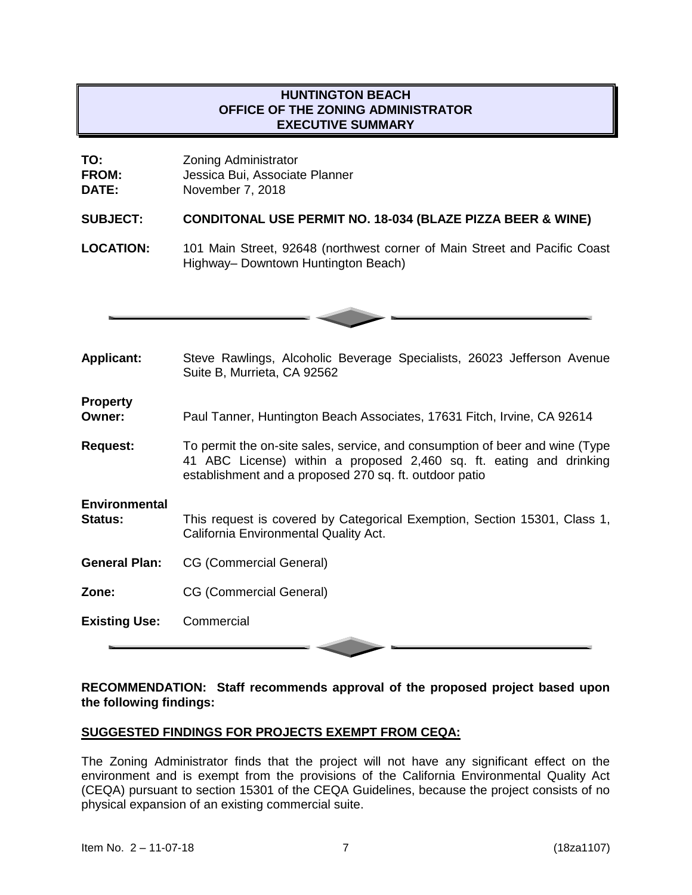# **HUNTINGTON BEACH OFFICE OF THE ZONING ADMINISTRATOR EXECUTIVE SUMMARY**

| TO:          | <b>Zoning Administrator</b>    |
|--------------|--------------------------------|
| <b>FROM:</b> | Jessica Bui, Associate Planner |
| <b>DATE:</b> | November 7, 2018               |

#### **SUBJECT: CONDITONAL USE PERMIT NO. 18-034 (BLAZE PIZZA BEER & WINE)**

**LOCATION:** 101 Main Street, 92648 (northwest corner of Main Street and Pacific Coast Highway– Downtown Huntington Beach)



- **Applicant:** Steve Rawlings, Alcoholic Beverage Specialists, 26023 Jefferson Avenue Suite B, Murrieta, CA 92562 **Property Owner:** Paul Tanner, Huntington Beach Associates, 17631 Fitch, Irvine, CA 92614 **Request:** To permit the on-site sales, service, and consumption of beer and wine (Type 41 ABC License) within a proposed 2,460 sq. ft. eating and drinking establishment and a proposed 270 sq. ft. outdoor patio **Environmental Status:** This request is covered by Categorical Exemption, Section 15301, Class 1, California Environmental Quality Act.
- **General Plan:** CG (Commercial General)
- **Zone:** CG (Commercial General)
- **Existing Use:** Commercial

#### **RECOMMENDATION: Staff recommends approval of the proposed project based upon the following findings:**

#### **SUGGESTED FINDINGS FOR PROJECTS EXEMPT FROM CEQA:**

The Zoning Administrator finds that the project will not have any significant effect on the environment and is exempt from the provisions of the California Environmental Quality Act (CEQA) pursuant to section 15301 of the CEQA Guidelines, because the project consists of no physical expansion of an existing commercial suite.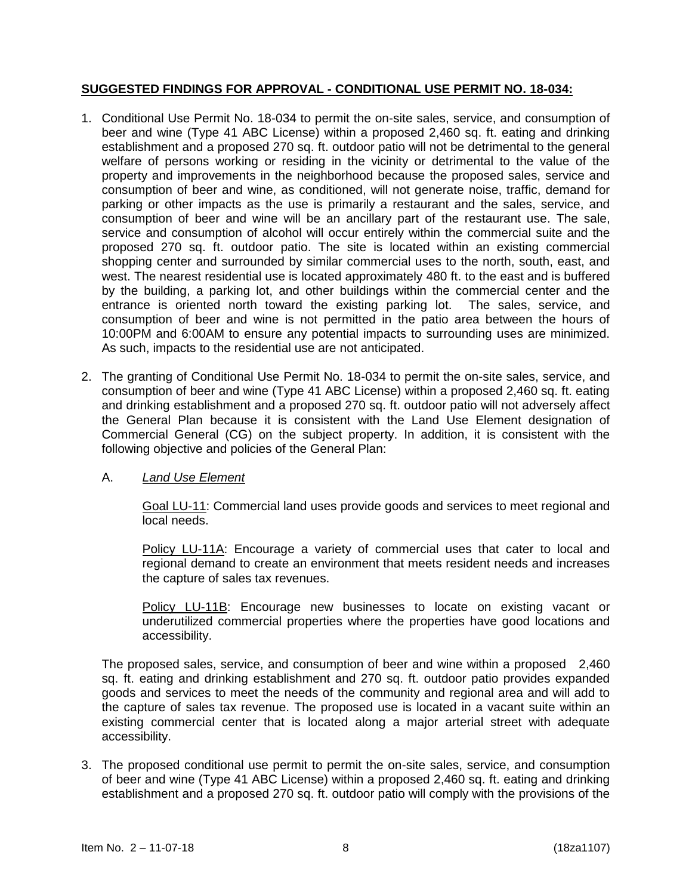# **SUGGESTED FINDINGS FOR APPROVAL - CONDITIONAL USE PERMIT NO. 18-034:**

- 1. Conditional Use Permit No. 18-034 to permit the on-site sales, service, and consumption of beer and wine (Type 41 ABC License) within a proposed 2,460 sq. ft. eating and drinking establishment and a proposed 270 sq. ft. outdoor patio will not be detrimental to the general welfare of persons working or residing in the vicinity or detrimental to the value of the property and improvements in the neighborhood because the proposed sales, service and consumption of beer and wine, as conditioned, will not generate noise, traffic, demand for parking or other impacts as the use is primarily a restaurant and the sales, service, and consumption of beer and wine will be an ancillary part of the restaurant use. The sale, service and consumption of alcohol will occur entirely within the commercial suite and the proposed 270 sq. ft. outdoor patio. The site is located within an existing commercial shopping center and surrounded by similar commercial uses to the north, south, east, and west. The nearest residential use is located approximately 480 ft. to the east and is buffered by the building, a parking lot, and other buildings within the commercial center and the entrance is oriented north toward the existing parking lot. The sales, service, and consumption of beer and wine is not permitted in the patio area between the hours of 10:00PM and 6:00AM to ensure any potential impacts to surrounding uses are minimized. As such, impacts to the residential use are not anticipated.
- 2. The granting of Conditional Use Permit No. 18-034 to permit the on-site sales, service, and consumption of beer and wine (Type 41 ABC License) within a proposed 2,460 sq. ft. eating and drinking establishment and a proposed 270 sq. ft. outdoor patio will not adversely affect the General Plan because it is consistent with the Land Use Element designation of Commercial General (CG) on the subject property. In addition, it is consistent with the following objective and policies of the General Plan:

### A. *Land Use Element*

Goal LU-11: Commercial land uses provide goods and services to meet regional and local needs.

Policy LU-11A: Encourage a variety of commercial uses that cater to local and regional demand to create an environment that meets resident needs and increases the capture of sales tax revenues.

Policy LU-11B: Encourage new businesses to locate on existing vacant or underutilized commercial properties where the properties have good locations and accessibility.

The proposed sales, service, and consumption of beer and wine within a proposed 2,460 sq. ft. eating and drinking establishment and 270 sq. ft. outdoor patio provides expanded goods and services to meet the needs of the community and regional area and will add to the capture of sales tax revenue. The proposed use is located in a vacant suite within an existing commercial center that is located along a major arterial street with adequate accessibility.

3. The proposed conditional use permit to permit the on-site sales, service, and consumption of beer and wine (Type 41 ABC License) within a proposed 2,460 sq. ft. eating and drinking establishment and a proposed 270 sq. ft. outdoor patio will comply with the provisions of the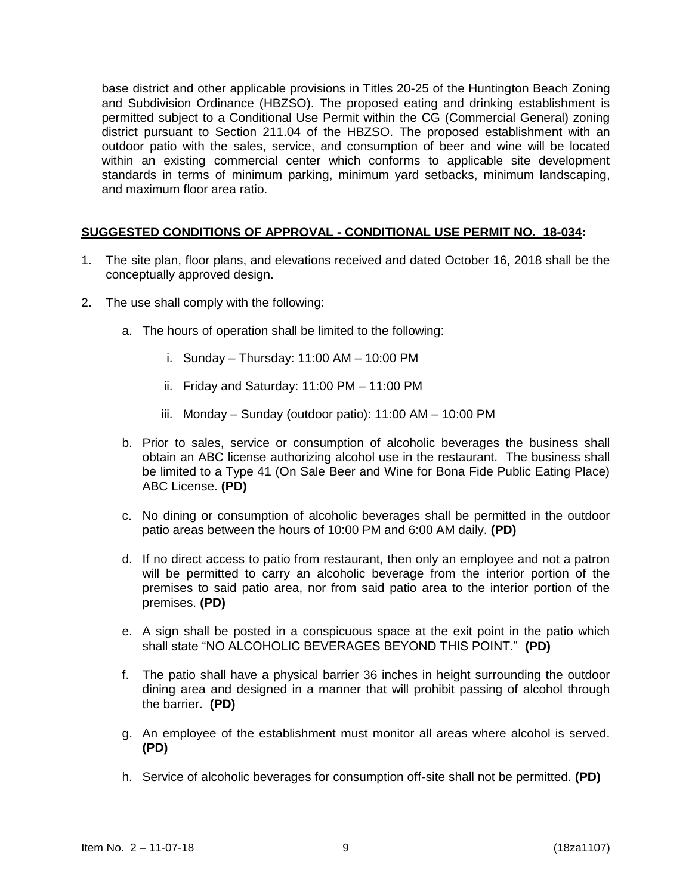base district and other applicable provisions in Titles 20-25 of the Huntington Beach Zoning and Subdivision Ordinance (HBZSO). The proposed eating and drinking establishment is permitted subject to a Conditional Use Permit within the CG (Commercial General) zoning district pursuant to Section 211.04 of the HBZSO. The proposed establishment with an outdoor patio with the sales, service, and consumption of beer and wine will be located within an existing commercial center which conforms to applicable site development standards in terms of minimum parking, minimum yard setbacks, minimum landscaping, and maximum floor area ratio.

# **SUGGESTED CONDITIONS OF APPROVAL - CONDITIONAL USE PERMIT NO. 18-034:**

- 1. The site plan, floor plans, and elevations received and dated October 16, 2018 shall be the conceptually approved design.
- 2. The use shall comply with the following:
	- a. The hours of operation shall be limited to the following:
		- i. Sunday Thursday: 11:00 AM 10:00 PM
		- ii. Friday and Saturday: 11:00 PM 11:00 PM
		- iii. Monday Sunday (outdoor patio): 11:00 AM 10:00 PM
	- b. Prior to sales, service or consumption of alcoholic beverages the business shall obtain an ABC license authorizing alcohol use in the restaurant. The business shall be limited to a Type 41 (On Sale Beer and Wine for Bona Fide Public Eating Place) ABC License. **(PD)**
	- c. No dining or consumption of alcoholic beverages shall be permitted in the outdoor patio areas between the hours of 10:00 PM and 6:00 AM daily. **(PD)**
	- d. If no direct access to patio from restaurant, then only an employee and not a patron will be permitted to carry an alcoholic beverage from the interior portion of the premises to said patio area, nor from said patio area to the interior portion of the premises. **(PD)**
	- e. A sign shall be posted in a conspicuous space at the exit point in the patio which shall state "NO ALCOHOLIC BEVERAGES BEYOND THIS POINT." **(PD)**
	- f. The patio shall have a physical barrier 36 inches in height surrounding the outdoor dining area and designed in a manner that will prohibit passing of alcohol through the barrier. **(PD)**
	- g. An employee of the establishment must monitor all areas where alcohol is served. **(PD)**
	- h. Service of alcoholic beverages for consumption off-site shall not be permitted. **(PD)**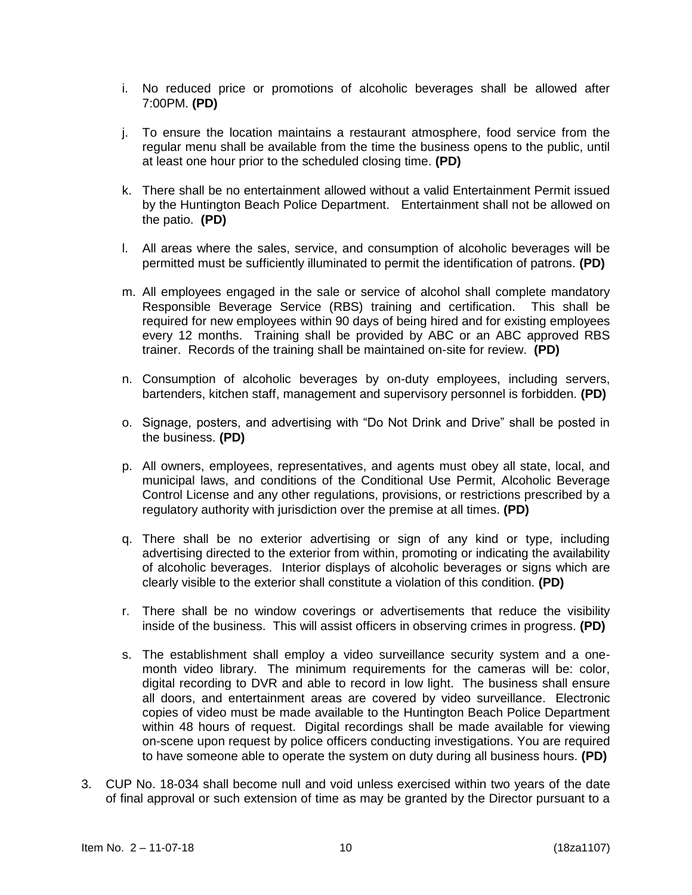- i. No reduced price or promotions of alcoholic beverages shall be allowed after 7:00PM. **(PD)**
- j. To ensure the location maintains a restaurant atmosphere, food service from the regular menu shall be available from the time the business opens to the public, until at least one hour prior to the scheduled closing time. **(PD)**
- k. There shall be no entertainment allowed without a valid Entertainment Permit issued by the Huntington Beach Police Department.Entertainment shall not be allowed on the patio. **(PD)**
- l. All areas where the sales, service, and consumption of alcoholic beverages will be permitted must be sufficiently illuminated to permit the identification of patrons. **(PD)**
- m. All employees engaged in the sale or service of alcohol shall complete mandatory Responsible Beverage Service (RBS) training and certification. This shall be required for new employees within 90 days of being hired and for existing employees every 12 months. Training shall be provided by ABC or an ABC approved RBS trainer. Records of the training shall be maintained on-site for review. **(PD)**
- n. Consumption of alcoholic beverages by on-duty employees, including servers, bartenders, kitchen staff, management and supervisory personnel is forbidden. **(PD)**
- o. Signage, posters, and advertising with "Do Not Drink and Drive" shall be posted in the business. **(PD)**
- p. All owners, employees, representatives, and agents must obey all state, local, and municipal laws, and conditions of the Conditional Use Permit, Alcoholic Beverage Control License and any other regulations, provisions, or restrictions prescribed by a regulatory authority with jurisdiction over the premise at all times. **(PD)**
- q. There shall be no exterior advertising or sign of any kind or type, including advertising directed to the exterior from within, promoting or indicating the availability of alcoholic beverages. Interior displays of alcoholic beverages or signs which are clearly visible to the exterior shall constitute a violation of this condition. **(PD)**
- r. There shall be no window coverings or advertisements that reduce the visibility inside of the business. This will assist officers in observing crimes in progress. **(PD)**
- s. The establishment shall employ a video surveillance security system and a onemonth video library. The minimum requirements for the cameras will be: color, digital recording to DVR and able to record in low light. The business shall ensure all doors, and entertainment areas are covered by video surveillance. Electronic copies of video must be made available to the Huntington Beach Police Department within 48 hours of request. Digital recordings shall be made available for viewing on-scene upon request by police officers conducting investigations. You are required to have someone able to operate the system on duty during all business hours. **(PD)**
- 3. CUP No. 18-034 shall become null and void unless exercised within two years of the date of final approval or such extension of time as may be granted by the Director pursuant to a